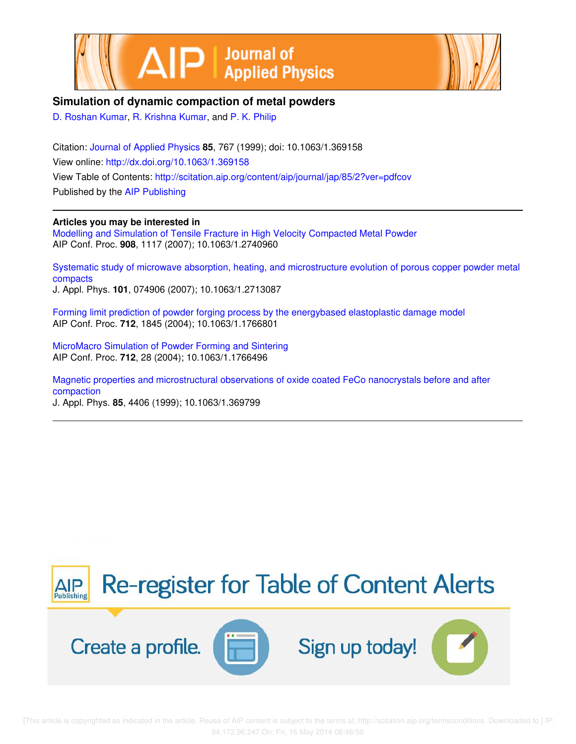



## **Simulation of dynamic compaction of metal powders**

D. Roshan Kumar, R. Krishna Kumar, and P. K. Philip

Citation: Journal of Applied Physics **85**, 767 (1999); doi: 10.1063/1.369158 View online: http://dx.doi.org/10.1063/1.369158 View Table of Contents: http://scitation.aip.org/content/aip/journal/jap/85/2?ver=pdfcov Published by the AIP Publishing

### **Articles you may be interested in**

Modelling and Simulation of Tensile Fracture in High Velocity Compacted Metal Powder AIP Conf. Proc. **908**, 1117 (2007); 10.1063/1.2740960

Systematic study of microwave absorption, heating, and microstructure evolution of porous copper powder metal compacts

J. Appl. Phys. **101**, 074906 (2007); 10.1063/1.2713087

Forming limit prediction of powder forging process by the energybased elastoplastic damage model AIP Conf. Proc. **712**, 1845 (2004); 10.1063/1.1766801

MicroMacro Simulation of Powder Forming and Sintering AIP Conf. Proc. **712**, 28 (2004); 10.1063/1.1766496

Magnetic properties and microstructural observations of oxide coated FeCo nanocrystals before and after compaction

J. Appl. Phys. **85**, 4406 (1999); 10.1063/1.369799

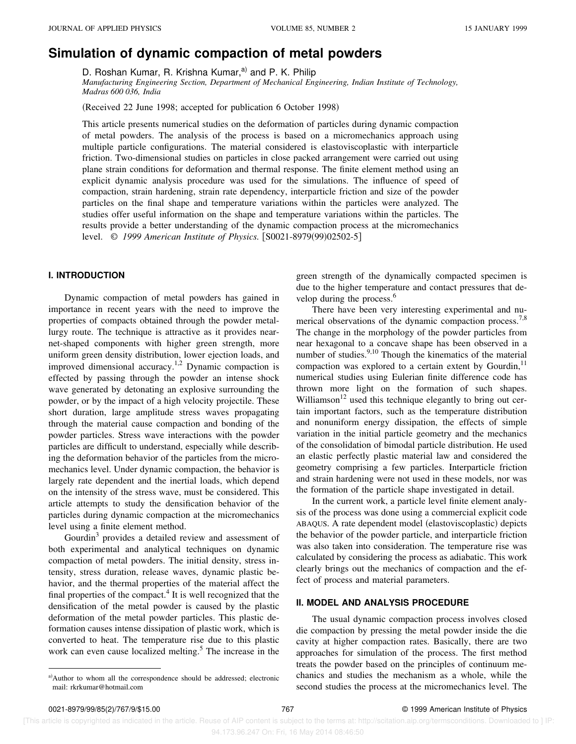# **Simulation of dynamic compaction of metal powders**

D. Roshan Kumar, R. Krishna Kumar,<sup>a)</sup> and P. K. Philip

*Manufacturing Engineering Section, Department of Mechanical Engineering, Indian Institute of Technology, Madras 600 036, India*

(Received 22 June 1998; accepted for publication 6 October 1998)

This article presents numerical studies on the deformation of particles during dynamic compaction of metal powders. The analysis of the process is based on a micromechanics approach using multiple particle configurations. The material considered is elastoviscoplastic with interparticle friction. Two-dimensional studies on particles in close packed arrangement were carried out using plane strain conditions for deformation and thermal response. The finite element method using an explicit dynamic analysis procedure was used for the simulations. The influence of speed of compaction, strain hardening, strain rate dependency, interparticle friction and size of the powder particles on the final shape and temperature variations within the particles were analyzed. The studies offer useful information on the shape and temperature variations within the particles. The results provide a better understanding of the dynamic compaction process at the micromechanics level. © 1999 American Institute of Physics. [S0021-8979(99)02502-5]

#### **I. INTRODUCTION**

Dynamic compaction of metal powders has gained in importance in recent years with the need to improve the properties of compacts obtained through the powder metallurgy route. The technique is attractive as it provides nearnet-shaped components with higher green strength, more uniform green density distribution, lower ejection loads, and improved dimensional accuracy.1,2 Dynamic compaction is effected by passing through the powder an intense shock wave generated by detonating an explosive surrounding the powder, or by the impact of a high velocity projectile. These short duration, large amplitude stress waves propagating through the material cause compaction and bonding of the powder particles. Stress wave interactions with the powder particles are difficult to understand, especially while describing the deformation behavior of the particles from the micromechanics level. Under dynamic compaction, the behavior is largely rate dependent and the inertial loads, which depend on the intensity of the stress wave, must be considered. This article attempts to study the densification behavior of the particles during dynamic compaction at the micromechanics level using a finite element method.

Gourdin<sup>3</sup> provides a detailed review and assessment of both experimental and analytical techniques on dynamic compaction of metal powders. The initial density, stress intensity, stress duration, release waves, dynamic plastic behavior, and the thermal properties of the material affect the final properties of the compact.<sup>4</sup> It is well recognized that the densification of the metal powder is caused by the plastic deformation of the metal powder particles. This plastic deformation causes intense dissipation of plastic work, which is converted to heat. The temperature rise due to this plastic work can even cause localized melting.<sup>5</sup> The increase in the green strength of the dynamically compacted specimen is due to the higher temperature and contact pressures that develop during the process.<sup>6</sup>

There have been very interesting experimental and numerical observations of the dynamic compaction process.<sup>7,8</sup> The change in the morphology of the powder particles from near hexagonal to a concave shape has been observed in a number of studies.<sup>9,10</sup> Though the kinematics of the material compaction was explored to a certain extent by Gourdin, $^{11}$ numerical studies using Eulerian finite difference code has thrown more light on the formation of such shapes. Williamson $12$  used this technique elegantly to bring out certain important factors, such as the temperature distribution and nonuniform energy dissipation, the effects of simple variation in the initial particle geometry and the mechanics of the consolidation of bimodal particle distribution. He used an elastic perfectly plastic material law and considered the geometry comprising a few particles. Interparticle friction and strain hardening were not used in these models, nor was the formation of the particle shape investigated in detail.

In the current work, a particle level finite element analysis of the process was done using a commercial explicit code ABAQUS. A rate dependent model (elastoviscoplastic) depicts the behavior of the powder particle, and interparticle friction was also taken into consideration. The temperature rise was calculated by considering the process as adiabatic. This work clearly brings out the mechanics of compaction and the effect of process and material parameters.

#### **II. MODEL AND ANALYSIS PROCEDURE**

The usual dynamic compaction process involves closed die compaction by pressing the metal powder inside the die cavity at higher compaction rates. Basically, there are two approaches for simulation of the process. The first method treats the powder based on the principles of continuum mechanics and studies the mechanism as a whole, while the second studies the process at the micromechanics level. The

 [This article is copyrighted as indicated in the article. Reuse of AIP content is subject to the terms at: http://scitation.aip.org/termsconditions. Downloaded to ] IP: 94.173.96.247 On: Fri, 16 May 2014 08:46:50

a) Author to whom all the correspondence should be addressed; electronic mail: rkrkumar@hotmail.com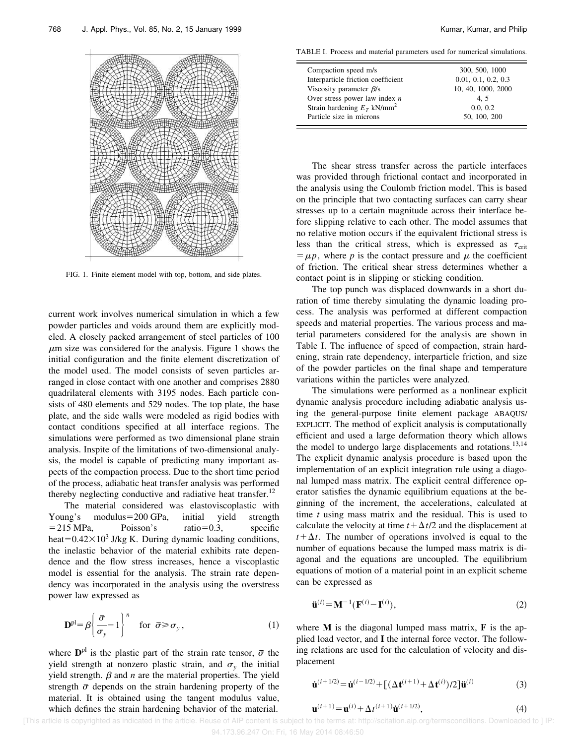

FIG. 1. Finite element model with top, bottom, and side plates.

current work involves numerical simulation in which a few powder particles and voids around them are explicitly modeled. A closely packed arrangement of steel particles of 100  $\mu$ m size was considered for the analysis. Figure 1 shows the initial configuration and the finite element discretization of the model used. The model consists of seven particles arranged in close contact with one another and comprises 2880 quadrilateral elements with 3195 nodes. Each particle consists of 480 elements and 529 nodes. The top plate, the base plate, and the side walls were modeled as rigid bodies with contact conditions specified at all interface regions. The simulations were performed as two dimensional plane strain analysis. Inspite of the limitations of two-dimensional analysis, the model is capable of predicting many important aspects of the compaction process. Due to the short time period of the process, adiabatic heat transfer analysis was performed thereby neglecting conductive and radiative heat transfer.<sup>12</sup>

The material considered was elastoviscoplastic with Young's modulus=200 GPa, initial yield strength  $=$  215 MPa, Poisson's ratio=0.3, specific heat=0.42 $\times$ 10<sup>3</sup> J/kg K. During dynamic loading conditions, the inelastic behavior of the material exhibits rate dependence and the flow stress increases, hence a viscoplastic model is essential for the analysis. The strain rate dependency was incorporated in the analysis using the overstress power law expressed as

$$
\mathbf{D}^{\text{pl}} = \beta \left\{ \frac{\bar{\sigma}}{\sigma_y} - 1 \right\}^n \quad \text{for } \bar{\sigma} \ge \sigma_y, \tag{1}
$$

where  $D<sup>pl</sup>$  is the plastic part of the strain rate tensor,  $\bar{\sigma}$  the yield strength at nonzero plastic strain, and  $\sigma_y$  the initial yield strength.  $\beta$  and  $n$  are the material properties. The yield strength  $\bar{\sigma}$  depends on the strain hardening property of the material. It is obtained using the tangent modulus value, which defines the strain hardening behavior of the material.

TABLE I. Process and material parameters used for numerical simulations.

 $\equiv$ 

| Compaction speed m/s                                                                                     | 300, 500, 1000                  |
|----------------------------------------------------------------------------------------------------------|---------------------------------|
|                                                                                                          |                                 |
| Interparticle friction coefficient                                                                       | 0.01, 0.1, 0.2, 0.3             |
| Viscosity parameter $\beta$ /s                                                                           | 10, 40, 1000, 2000              |
|                                                                                                          |                                 |
|                                                                                                          |                                 |
|                                                                                                          |                                 |
| Over stress power law index $n$<br>Strain hardening $E_T$ kN/mm <sup>2</sup><br>Particle size in microns | 4.5<br>0.0, 0.2<br>50, 100, 200 |

The shear stress transfer across the particle interfaces was provided through frictional contact and incorporated in the analysis using the Coulomb friction model. This is based on the principle that two contacting surfaces can carry shear stresses up to a certain magnitude across their interface before slipping relative to each other. The model assumes that no relative motion occurs if the equivalent frictional stress is less than the critical stress, which is expressed as  $\tau_{\rm crit}$  $= \mu p$ , where p is the contact pressure and  $\mu$  the coefficient of friction. The critical shear stress determines whether a contact point is in slipping or sticking condition.

The top punch was displaced downwards in a short duration of time thereby simulating the dynamic loading process. The analysis was performed at different compaction speeds and material properties. The various process and material parameters considered for the analysis are shown in Table I. The influence of speed of compaction, strain hardening, strain rate dependency, interparticle friction, and size of the powder particles on the final shape and temperature variations within the particles were analyzed.

The simulations were performed as a nonlinear explicit dynamic analysis procedure including adiabatic analysis using the general-purpose finite element package ABAQUS/ EXPLICIT. The method of explicit analysis is computationally efficient and used a large deformation theory which allows the model to undergo large displacements and rotations.<sup>13,14</sup> The explicit dynamic analysis procedure is based upon the implementation of an explicit integration rule using a diagonal lumped mass matrix. The explicit central difference operator satisfies the dynamic equilibrium equations at the beginning of the increment, the accelerations, calculated at time *t* using mass matrix and the residual. This is used to calculate the velocity at time  $t + \Delta t/2$  and the displacement at  $t + \Delta t$ . The number of operations involved is equal to the number of equations because the lumped mass matrix is diagonal and the equations are uncoupled. The equilibrium equations of motion of a material point in an explicit scheme can be expressed as

$$
\ddot{\mathbf{u}}^{(i)} = \mathbf{M}^{-1} (\mathbf{F}^{(i)} - \mathbf{I}^{(i)}), \tag{2}
$$

where **M** is the diagonal lumped mass matrix, **F** is the applied load vector, and **I** the internal force vector. The following relations are used for the calculation of velocity and displacement

$$
\dot{\mathbf{u}}^{(i+1/2)} = \dot{\mathbf{u}}^{(i-1/2)} + [(\Delta \mathbf{t}^{(i+1)} + \Delta \mathbf{t}^{(i)})/2] \ddot{\mathbf{u}}^{(i)}
$$
(3)

$$
\mathbf{u}^{(i+1)} = \mathbf{u}^{(i)} + \Delta t^{(i+1)} \dot{\mathbf{u}}^{(i+1/2)},
$$
\n(4)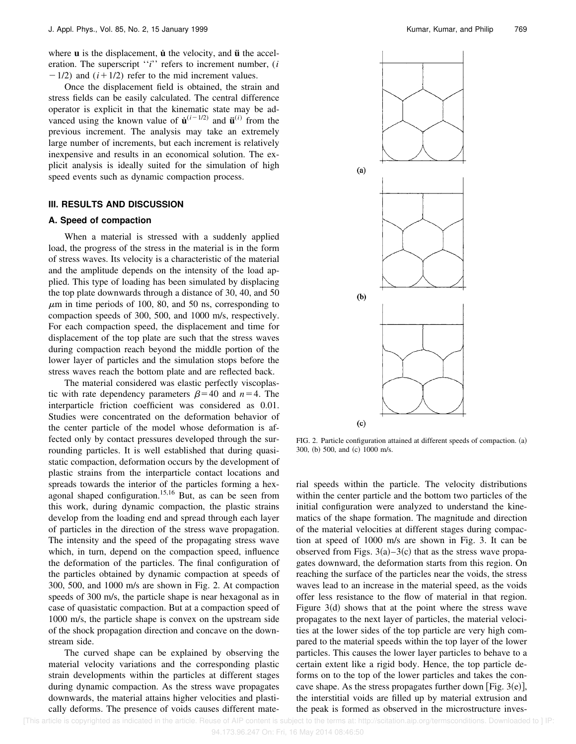where **u** is the displacement, **u** the velocity, and **u** the acceleration. The superscript "*i*" refers to increment number, (*i*  $-1/2$ ) and  $(i+1/2)$  refer to the mid increment values.

Once the displacement field is obtained, the strain and stress fields can be easily calculated. The central difference operator is explicit in that the kinematic state may be advanced using the known value of  $\mathbf{u}^{(i-1/2)}$  and  $\mathbf{u}^{(i)}$  from the previous increment. The analysis may take an extremely large number of increments, but each increment is relatively inexpensive and results in an economical solution. The explicit analysis is ideally suited for the simulation of high speed events such as dynamic compaction process.

#### **III. RESULTS AND DISCUSSION**

#### **A. Speed of compaction**

When a material is stressed with a suddenly applied load, the progress of the stress in the material is in the form of stress waves. Its velocity is a characteristic of the material and the amplitude depends on the intensity of the load applied. This type of loading has been simulated by displacing the top plate downwards through a distance of 30, 40, and 50  $\mu$ m in time periods of 100, 80, and 50 ns, corresponding to compaction speeds of 300, 500, and 1000 m/s, respectively. For each compaction speed, the displacement and time for displacement of the top plate are such that the stress waves during compaction reach beyond the middle portion of the lower layer of particles and the simulation stops before the stress waves reach the bottom plate and are reflected back.

The material considered was elastic perfectly viscoplastic with rate dependency parameters  $\beta$ =40 and *n*=4. The interparticle friction coefficient was considered as 0.01. Studies were concentrated on the deformation behavior of the center particle of the model whose deformation is affected only by contact pressures developed through the surrounding particles. It is well established that during quasistatic compaction, deformation occurs by the development of plastic strains from the interparticle contact locations and spreads towards the interior of the particles forming a hexagonal shaped configuration.15,16 But, as can be seen from this work, during dynamic compaction, the plastic strains develop from the loading end and spread through each layer of particles in the direction of the stress wave propagation. The intensity and the speed of the propagating stress wave which, in turn, depend on the compaction speed, influence the deformation of the particles. The final configuration of the particles obtained by dynamic compaction at speeds of 300, 500, and 1000 m/s are shown in Fig. 2. At compaction speeds of 300 m/s, the particle shape is near hexagonal as in case of quasistatic compaction. But at a compaction speed of 1000 m/s, the particle shape is convex on the upstream side of the shock propagation direction and concave on the downstream side.

The curved shape can be explained by observing the material velocity variations and the corresponding plastic strain developments within the particles at different stages during dynamic compaction. As the stress wave propagates downwards, the material attains higher velocities and plastically deforms. The presence of voids causes different mate-



FIG. 2. Particle configuration attained at different speeds of compaction. (a) 300, (b) 500, and (c) 1000 m/s.

rial speeds within the particle. The velocity distributions within the center particle and the bottom two particles of the initial configuration were analyzed to understand the kinematics of the shape formation. The magnitude and direction of the material velocities at different stages during compaction at speed of 1000 m/s are shown in Fig. 3. It can be observed from Figs.  $3(a)-3(c)$  that as the stress wave propagates downward, the deformation starts from this region. On reaching the surface of the particles near the voids, the stress waves lead to an increase in the material speed, as the voids offer less resistance to the flow of material in that region. Figure  $3(d)$  shows that at the point where the stress wave propagates to the next layer of particles, the material velocities at the lower sides of the top particle are very high compared to the material speeds within the top layer of the lower particles. This causes the lower layer particles to behave to a certain extent like a rigid body. Hence, the top particle deforms on to the top of the lower particles and takes the concave shape. As the stress propagates further down [Fig. 3 $(e)$ ], the interstitial voids are filled up by material extrusion and the peak is formed as observed in the microstructure inves-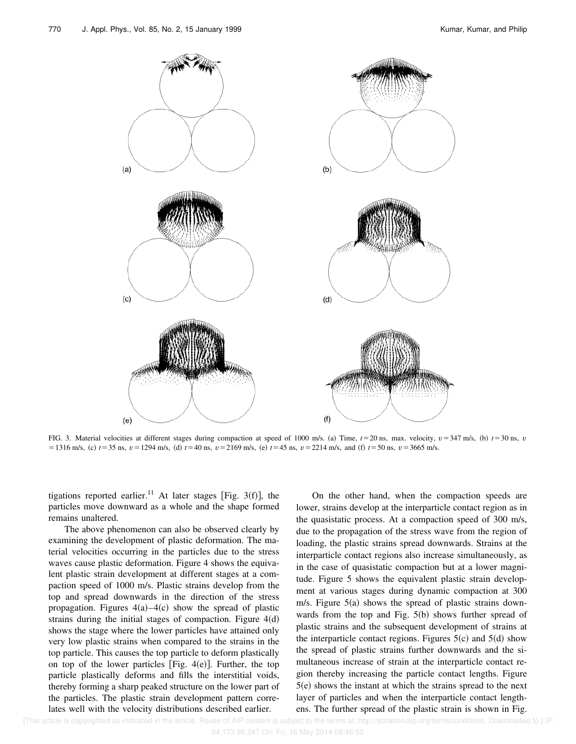

FIG. 3. Material velocities at different stages during compaction at speed of 1000 m/s. (a) Time,  $t = 20$  ns, max. velocity,  $v = 347$  m/s, (b)  $t = 30$  ns, *v*  $51316$  m/s, (c)  $t = 35$  ns,  $v = 1294$  m/s, (d)  $t = 40$  ns,  $v = 2169$  m/s, (e)  $t = 45$  ns,  $v = 2214$  m/s, and (f)  $t = 50$  ns,  $v = 3665$  m/s.

tigations reported earlier.<sup>11</sup> At later stages [Fig. 3(f)], the particles move downward as a whole and the shape formed remains unaltered.

The above phenomenon can also be observed clearly by examining the development of plastic deformation. The material velocities occurring in the particles due to the stress waves cause plastic deformation. Figure 4 shows the equivalent plastic strain development at different stages at a compaction speed of 1000 m/s. Plastic strains develop from the top and spread downwards in the direction of the stress propagation. Figures  $4(a) - 4(c)$  show the spread of plastic strains during the initial stages of compaction. Figure  $4(d)$ shows the stage where the lower particles have attained only very low plastic strains when compared to the strains in the top particle. This causes the top particle to deform plastically on top of the lower particles [Fig.  $4(e)$ ]. Further, the top particle plastically deforms and fills the interstitial voids, thereby forming a sharp peaked structure on the lower part of the particles. The plastic strain development pattern correlates well with the velocity distributions described earlier.

On the other hand, when the compaction speeds are lower, strains develop at the interparticle contact region as in the quasistatic process. At a compaction speed of 300 m/s, due to the propagation of the stress wave from the region of loading, the plastic strains spread downwards. Strains at the interparticle contact regions also increase simultaneously, as in the case of quasistatic compaction but at a lower magnitude. Figure 5 shows the equivalent plastic strain development at various stages during dynamic compaction at 300 m/s. Figure  $5(a)$  shows the spread of plastic strains downwards from the top and Fig.  $5(b)$  shows further spread of plastic strains and the subsequent development of strains at the interparticle contact regions. Figures  $5(c)$  and  $5(d)$  show the spread of plastic strains further downwards and the simultaneous increase of strain at the interparticle contact region thereby increasing the particle contact lengths. Figure  $5(e)$  shows the instant at which the strains spread to the next layer of particles and when the interparticle contact lengthens. The further spread of the plastic strain is shown in Fig.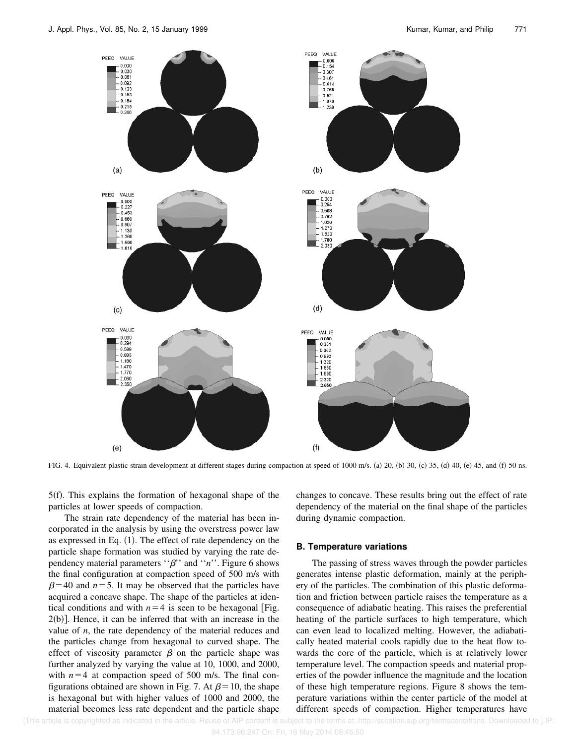

FIG. 4. Equivalent plastic strain development at different stages during compaction at speed of 1000 m/s. (a) 20, (b) 30, (c) 35, (d) 40, (e) 45, and (f) 50 ns.

 $5(f)$ . This explains the formation of hexagonal shape of the particles at lower speeds of compaction.

The strain rate dependency of the material has been incorporated in the analysis by using the overstress power law as expressed in Eq.  $(1)$ . The effect of rate dependency on the particle shape formation was studied by varying the rate dependency material parameters  $\cdot \beta$ " and  $\cdot \cdot n$ ". Figure 6 shows the final configuration at compaction speed of 500 m/s with  $\beta$ =40 and *n*=5. It may be observed that the particles have acquired a concave shape. The shape of the particles at identical conditions and with  $n=4$  is seen to be hexagonal [Fig.  $2(b)$ ]. Hence, it can be inferred that with an increase in the value of *n*, the rate dependency of the material reduces and the particles change from hexagonal to curved shape. The effect of viscosity parameter  $\beta$  on the particle shape was further analyzed by varying the value at 10, 1000, and 2000, with  $n=4$  at compaction speed of 500 m/s. The final configurations obtained are shown in Fig. 7. At  $\beta$ =10, the shape is hexagonal but with higher values of 1000 and 2000, the material becomes less rate dependent and the particle shape changes to concave. These results bring out the effect of rate dependency of the material on the final shape of the particles during dynamic compaction.

#### **B. Temperature variations**

The passing of stress waves through the powder particles generates intense plastic deformation, mainly at the periphery of the particles. The combination of this plastic deformation and friction between particle raises the temperature as a consequence of adiabatic heating. This raises the preferential heating of the particle surfaces to high temperature, which can even lead to localized melting. However, the adiabatically heated material cools rapidly due to the heat flow towards the core of the particle, which is at relatively lower temperature level. The compaction speeds and material properties of the powder influence the magnitude and the location of these high temperature regions. Figure 8 shows the temperature variations within the center particle of the model at different speeds of compaction. Higher temperatures have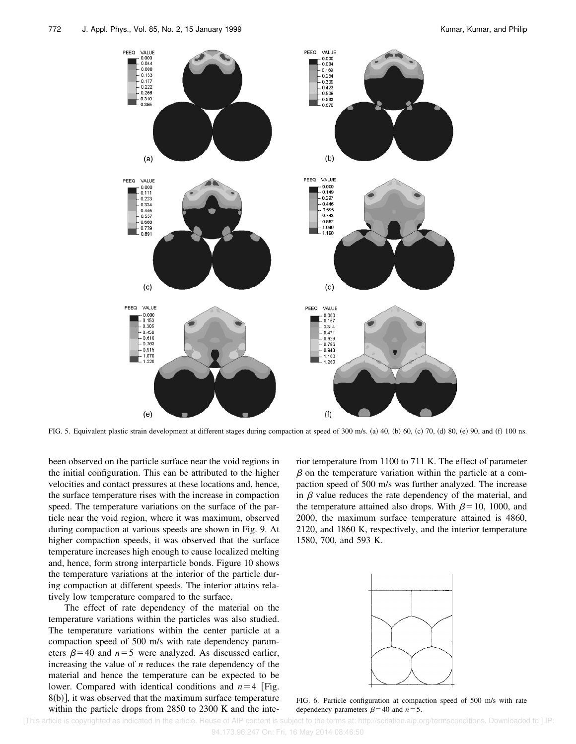

FIG. 5. Equivalent plastic strain development at different stages during compaction at speed of 300 m/s. (a) 40, (b) 60, (c) 70, (d) 80, (e) 90, and (f) 100 ns.

been observed on the particle surface near the void regions in the initial configuration. This can be attributed to the higher velocities and contact pressures at these locations and, hence, the surface temperature rises with the increase in compaction speed. The temperature variations on the surface of the particle near the void region, where it was maximum, observed during compaction at various speeds are shown in Fig. 9. At higher compaction speeds, it was observed that the surface temperature increases high enough to cause localized melting and, hence, form strong interparticle bonds. Figure 10 shows the temperature variations at the interior of the particle during compaction at different speeds. The interior attains relatively low temperature compared to the surface.

The effect of rate dependency of the material on the temperature variations within the particles was also studied. The temperature variations within the center particle at a compaction speed of 500 m/s with rate dependency parameters  $\beta$ =40 and *n*=5 were analyzed. As discussed earlier, increasing the value of *n* reduces the rate dependency of the material and hence the temperature can be expected to be lower. Compared with identical conditions and  $n=4$  [Fig.  $8(b)$ , it was observed that the maximum surface temperature within the particle drops from 2850 to 2300 K and the interior temperature from 1100 to 711 K. The effect of parameter  $\beta$  on the temperature variation within the particle at a compaction speed of 500 m/s was further analyzed. The increase in  $\beta$  value reduces the rate dependency of the material, and the temperature attained also drops. With  $\beta=10$ , 1000, and 2000, the maximum surface temperature attained is 4860, 2120, and 1860 K, respectively, and the interior temperature 1580, 700, and 593 K.



FIG. 6. Particle configuration at compaction speed of 500 m/s with rate dependency parameters  $\beta$ =40 and *n*=5.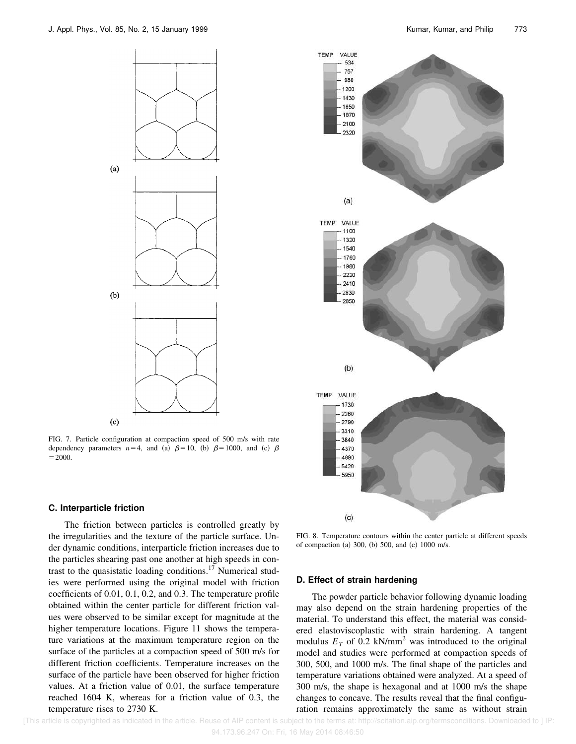

FIG. 7. Particle configuration at compaction speed of 500 m/s with rate dependency parameters  $n=4$ , and (a)  $\beta=10$ , (b)  $\beta=1000$ , and (c)  $\beta$  $=2000.$ 

#### **C. Interparticle friction**

The friction between particles is controlled greatly by the irregularities and the texture of the particle surface. Under dynamic conditions, interparticle friction increases due to the particles shearing past one another at high speeds in contrast to the quasistatic loading conditions.<sup>17</sup> Numerical studies were performed using the original model with friction coefficients of 0.01, 0.1, 0.2, and 0.3. The temperature profile obtained within the center particle for different friction values were observed to be similar except for magnitude at the higher temperature locations. Figure 11 shows the temperature variations at the maximum temperature region on the surface of the particles at a compaction speed of 500 m/s for different friction coefficients. Temperature increases on the surface of the particle have been observed for higher friction values. At a friction value of 0.01, the surface temperature reached 1604 K, whereas for a friction value of 0.3, the temperature rises to 2730 K.



FIG. 8. Temperature contours within the center particle at different speeds of compaction (a) 300, (b) 500, and (c) 1000 m/s.

#### **D. Effect of strain hardening**

The powder particle behavior following dynamic loading may also depend on the strain hardening properties of the material. To understand this effect, the material was considered elastoviscoplastic with strain hardening. A tangent modulus  $E_T$  of 0.2 kN/mm<sup>2</sup> was introduced to the original model and studies were performed at compaction speeds of 300, 500, and 1000 m/s. The final shape of the particles and temperature variations obtained were analyzed. At a speed of 300 m/s, the shape is hexagonal and at 1000 m/s the shape changes to concave. The results reveal that the final configuration remains approximately the same as without strain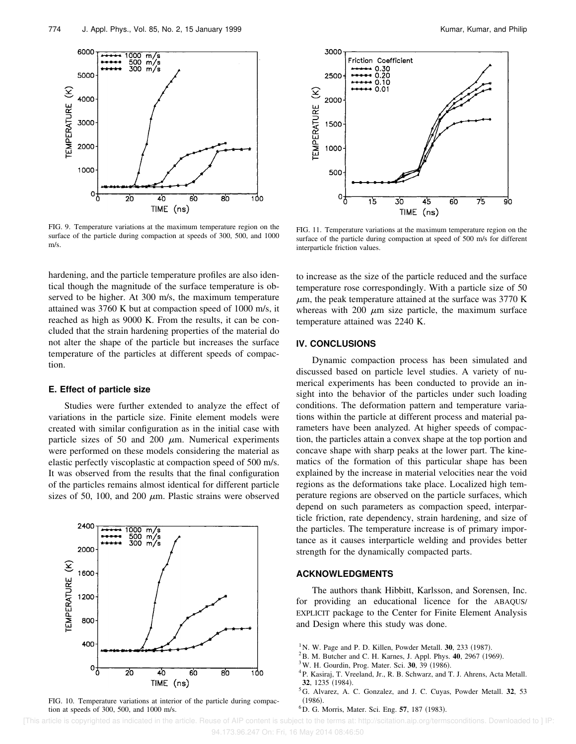

FIG. 9. Temperature variations at the maximum temperature region on the surface of the particle during compaction at speeds of 300, 500, and 1000 m/s.

hardening, and the particle temperature profiles are also identical though the magnitude of the surface temperature is observed to be higher. At 300 m/s, the maximum temperature attained was 3760 K but at compaction speed of 1000 m/s, it reached as high as 9000 K. From the results, it can be concluded that the strain hardening properties of the material do not alter the shape of the particle but increases the surface temperature of the particles at different speeds of compaction.

#### **E. Effect of particle size**

Studies were further extended to analyze the effect of variations in the particle size. Finite element models were created with similar configuration as in the initial case with particle sizes of 50 and 200  $\mu$ m. Numerical experiments were performed on these models considering the material as elastic perfectly viscoplastic at compaction speed of 500 m/s. It was observed from the results that the final configuration of the particles remains almost identical for different particle sizes of 50, 100, and 200  $\mu$ m. Plastic strains were observed



FIG. 10. Temperature variations at interior of the particle during compaction at speeds of 300, 500, and 1000 m/s.



FIG. 11. Temperature variations at the maximum temperature region on the surface of the particle during compaction at speed of 500 m/s for different interparticle friction values.

to increase as the size of the particle reduced and the surface temperature rose correspondingly. With a particle size of 50  $\mu$ m, the peak temperature attained at the surface was 3770 K whereas with 200  $\mu$ m size particle, the maximum surface temperature attained was 2240 K.

#### **IV. CONCLUSIONS**

Dynamic compaction process has been simulated and discussed based on particle level studies. A variety of numerical experiments has been conducted to provide an insight into the behavior of the particles under such loading conditions. The deformation pattern and temperature variations within the particle at different process and material parameters have been analyzed. At higher speeds of compaction, the particles attain a convex shape at the top portion and concave shape with sharp peaks at the lower part. The kinematics of the formation of this particular shape has been explained by the increase in material velocities near the void regions as the deformations take place. Localized high temperature regions are observed on the particle surfaces, which depend on such parameters as compaction speed, interparticle friction, rate dependency, strain hardening, and size of the particles. The temperature increase is of primary importance as it causes interparticle welding and provides better strength for the dynamically compacted parts.

#### **ACKNOWLEDGMENTS**

The authors thank Hibbitt, Karlsson, and Sorensen, Inc. for providing an educational licence for the ABAQUS/ EXPLICIT package to the Center for Finite Element Analysis and Design where this study was done.

- $1$ N. W. Page and P. D. Killen, Powder Metall. **30**, 233 (1987).
- <sup>2</sup>B. M. Butcher and C. H. Karnes, J. Appl. Phys. **40**, 2967 (1969).
- <sup>3</sup> W. H. Gourdin, Prog. Mater. Sci. **30**, 39 (1986).
- <sup>4</sup>P. Kasiraj, T. Vreeland, Jr., R. B. Schwarz, and T. J. Ahrens, Acta Metall. **32**, 1235 (1984).
- <sup>5</sup>G. Alvarez, A. C. Gonzalez, and J. C. Cuyas, Powder Metall. **32**, 53  $(1986)$ .
- <sup>6</sup>D. G. Morris, Mater. Sci. Eng. **57**, 187 (1983).

 [This article is copyrighted as indicated in the article. Reuse of AIP content is subject to the terms at: http://scitation.aip.org/termsconditions. Downloaded to ] IP: 94.173.96.247 On: Fri, 16 May 2014 08:46:50